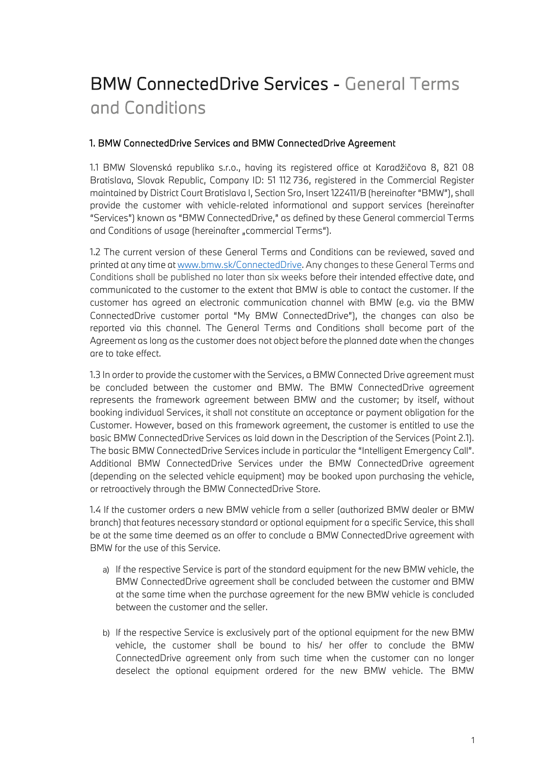# BMW ConnectedDrive Services - General Terms and Conditions

# 1. BMW ConnectedDrive Services and BMW ConnectedDrive Agreement

1.1 BMW Slovenská republika s.r.o., having its registered office at Karadžičova 8, 821 08 Bratislava, Slovak Republic, Company ID: 51 112 736, registered in the Commercial Register maintained by District Court Bratislava I, Section Sro, Insert 122411/B (hereinafter "BMW"), shall provide the customer with vehicle-related informational and support services (hereinafter "Services") known as "BMW ConnectedDrive," as defined by these General commercial Terms and Conditions of usage (hereinafter "commercial Terms").

1.2 The current version of these General Terms and Conditions can be reviewed, saved and printed at any time at [www.bmw.sk/ConnectedDrive.](http://www.bmw.sk/ConnectedDrive) Any changes to these General Terms and Conditions shall be published no later than six weeks before their intended effective date, and communicated to the customer to the extent that BMW is able to contact the customer. If the customer has agreed an electronic communication channel with BMW (e.g. via the BMW ConnectedDrive customer portal "My BMW ConnectedDrive"), the changes can also be reported via this channel. The General Terms and Conditions shall become part of the Agreement as long as the customer does not object before the planned date when the changes are to take effect.

1.3 In order to provide the customer with the Services, a BMW Connected Drive agreement must be concluded between the customer and BMW. The BMW ConnectedDrive agreement represents the framework agreement between BMW and the customer; by itself, without booking individual Services, it shall not constitute an acceptance or payment obligation for the Customer. However, based on this framework agreement, the customer is entitled to use the basic BMW ConnectedDrive Services as laid down in the Description of the Services (Point 2.1). The basic BMW ConnectedDrive Services include in particular the "Intelligent Emergency Call". Additional BMW ConnectedDrive Services under the BMW ConnectedDrive agreement (depending on the selected vehicle equipment) may be booked upon purchasing the vehicle, or retroactively through the BMW ConnectedDrive Store.

1.4 If the customer orders a new BMW vehicle from a seller (authorized BMW dealer or BMW branch) that features necessary standard or optional equipment for a specific Service, this shall be at the same time deemed as an offer to conclude a BMW ConnectedDrive agreement with BMW for the use of this Service.

- a) If the respective Service is part of the standard equipment for the new BMW vehicle, the BMW ConnectedDrive agreement shall be concluded between the customer and BMW at the same time when the purchase agreement for the new BMW vehicle is concluded between the customer and the seller.
- b) If the respective Service is exclusively part of the optional equipment for the new BMW vehicle, the customer shall be bound to his/ her offer to conclude the BMW ConnectedDrive agreement only from such time when the customer can no longer deselect the optional equipment ordered for the new BMW vehicle. The BMW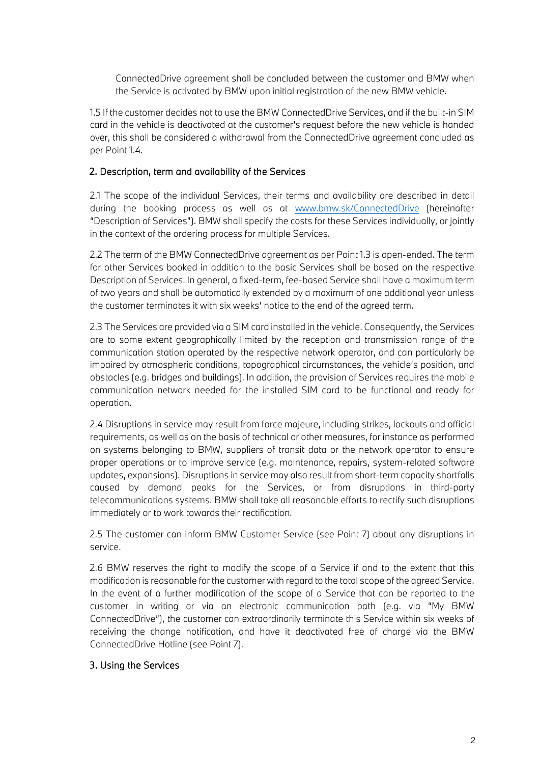ConnectedDrive agreement shall be concluded between the customer and BMW when the Service is activated by BMW upon initial registration of the new BMW vehicle.

1.5 If the customer decides not to use the BMW ConnectedDrive Services, and if the built-in SIM card in the vehicle is deactivated at the customer's request before the new vehicle is handed over, this shall be considered a withdrawal from the ConnectedDrive agreement concluded as per Point 1.4.

## 2. Description, term and availability of the Services

2.1 The scope of the individual Services, their terms and availability are described in detail during the booking process as well as at [www.bmw.sk/ConnectedDrive](http://www.bmw.sk/ConnectedDrive) (hereinafter "Description of Services"). BMW shall specify the costs for these Services individually, or jointly in the context of the ordering process for multiple Services.

2.2 The term of the BMW ConnectedDrive agreement as per Point 1.3 is open-ended. The term for other Services booked in addition to the basic Services shall be based on the respective Description of Services. In general, a fixed-term, fee-based Service shall have a maximum term of two years and shall be automatically extended by a maximum of one additional year unless the customer terminates it with six weeks' notice to the end of the agreed term.

2.3 The Services are provided via a SIM card installed in the vehicle. Consequently, the Services are to some extent geographically limited by the reception and transmission range of the communication station operated by the respective network operator, and can particularly be impaired by atmospheric conditions, topographical circumstances, the vehicle's position, and obstacles (e.g. bridges and buildings). In addition, the provision of Services requires the mobile communication network needed for the installed SIM card to be functional and ready for operation.

2.4 Disruptions in service may result from force majeure, including strikes, lockouts and official requirements, as well as on the basis of technical or other measures, for instance as performed on systems belonging to BMW, suppliers of transit data or the network operator to ensure proper operations or to improve service (e.g. maintenance, repairs, system-related software updates, expansions). Disruptions in service may also result from short-term capacity shortfalls caused by demand peaks for the Services, or from disruptions in third-party telecommunications systems. BMW shall take all reasonable efforts to rectify such disruptions immediately or to work towards their rectification.

2.5 The customer can inform BMW Customer Service (see Point 7) about any disruptions in service.

2.6 BMW reserves the right to modify the scope of a Service if and to the extent that this modification is reasonable for the customer with regard to the total scope of the agreed Service. In the event of a further modification of the scope of a Service that can be reported to the customer in writing or via an electronic communication path (e.g. via "My BMW ConnectedDrive"), the customer can extraordinarily terminate this Service within six weeks of receiving the change notification, and have it deactivated free of charge via the BMW ConnectedDrive Hotline (see Point 7).

## 3. Using the Services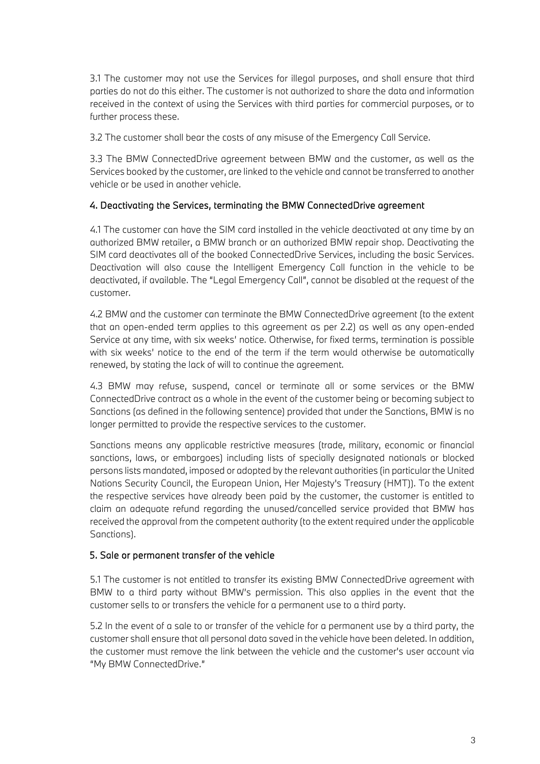3.1 The customer may not use the Services for illegal purposes, and shall ensure that third parties do not do this either. The customer is not authorized to share the data and information received in the context of using the Services with third parties for commercial purposes, or to further process these.

3.2 The customer shall bear the costs of any misuse of the Emergency Call Service.

3.3 The BMW ConnectedDrive agreement between BMW and the customer, as well as the Services booked by the customer, are linked to the vehicle and cannot be transferred to another vehicle or be used in another vehicle.

# 4. Deactivating the Services, terminating the BMW ConnectedDrive agreement

4.1 The customer can have the SIM card installed in the vehicle deactivated at any time by an authorized BMW retailer, a BMW branch or an authorized BMW repair shop. Deactivating the SIM card deactivates all of the booked ConnectedDrive Services, including the basic Services. Deactivation will also cause the Intelligent Emergency Call function in the vehicle to be deactivated, if available. The "Legal Emergency Call", cannot be disabled at the request of the customer.

4.2 BMW and the customer can terminate the BMW ConnectedDrive agreement (to the extent that an open-ended term applies to this agreement as per 2.2) as well as any open-ended Service at any time, with six weeks' notice. Otherwise, for fixed terms, termination is possible with six weeks' notice to the end of the term if the term would otherwise be automatically renewed, by stating the lack of will to continue the agreement.

4.3 BMW may refuse, suspend, cancel or terminate all or some services or the BMW ConnectedDrive contract as a whole in the event of the customer being or becoming subject to Sanctions (as defined in the following sentence) provided that under the Sanctions, BMW is no longer permitted to provide the respective services to the customer.

Sanctions means any applicable restrictive measures (trade, military, economic or financial sanctions, laws, or embargoes) including lists of specially designated nationals or blocked persons lists mandated, imposed or adopted by the relevant authorities (in particular the United Nations Security Council, the European Union, Her Majesty's Treasury (HMT)). To the extent the respective services have already been paid by the customer, the customer is entitled to claim an adequate refund regarding the unused/cancelled service provided that BMW has received the approval from the competent authority (to the extent required under the applicable Sanctions).

## 5. Sale or permanent transfer of the vehicle

5.1 The customer is not entitled to transfer its existing BMW ConnectedDrive agreement with BMW to a third party without BMW's permission. This also applies in the event that the customer sells to or transfers the vehicle for a permanent use to a third party.

5.2 In the event of a sale to or transfer of the vehicle for a permanent use by a third party, the customer shall ensure that all personal data saved in the vehicle have been deleted. In addition, the customer must remove the link between the vehicle and the customer's user account via "My BMW ConnectedDrive."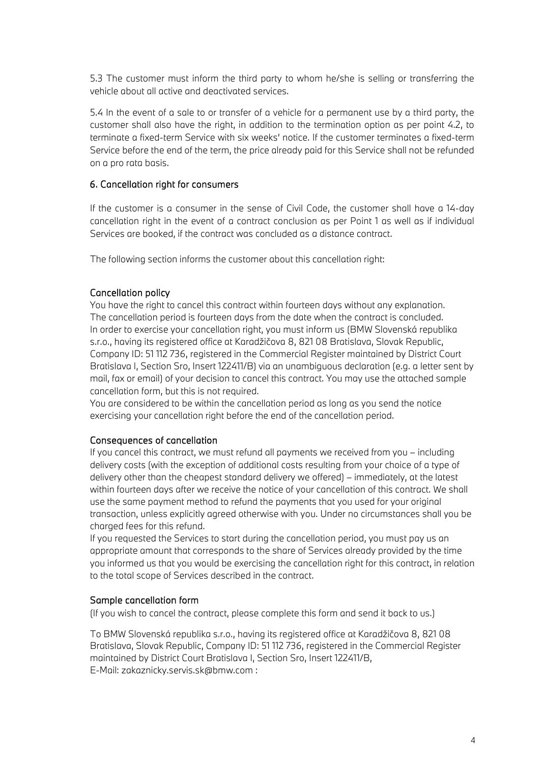5.3 The customer must inform the third party to whom he/she is selling or transferring the vehicle about all active and deactivated services.

5.4 In the event of a sale to or transfer of a vehicle for a permanent use by a third party, the customer shall also have the right, in addition to the termination option as per point 4.2, to terminate a fixed-term Service with six weeks' notice. If the customer terminates a fixed-term Service before the end of the term, the price already paid for this Service shall not be refunded on a pro rata basis.

#### 6. Cancellation right for consumers

If the customer is a consumer in the sense of Civil Code, the customer shall have a 14-day cancellation right in the event of a contract conclusion as per Point 1 as well as if individual Services are booked, if the contract was concluded as a distance contract.

The following section informs the customer about this cancellation right:

#### Cancellation policy

You have the right to cancel this contract within fourteen days without any explanation. The cancellation period is fourteen days from the date when the contract is concluded. In order to exercise your cancellation right, you must inform us (BMW Slovenská republika s.r.o., having its registered office at Karadžičova 8, 821 08 Bratislava, Slovak Republic, Company ID: 51 112 736, registered in the Commercial Register maintained by District Court Bratislava I, Section Sro, Insert 122411/B) via an unambiguous declaration (e.g. a letter sent by mail, fax or email) of your decision to cancel this contract. You may use the attached sample cancellation form, but this is not required.

You are considered to be within the cancellation period as long as you send the notice exercising your cancellation right before the end of the cancellation period.

#### Consequences of cancellation

If you cancel this contract, we must refund all payments we received from you – including delivery costs (with the exception of additional costs resulting from your choice of a type of delivery other than the cheapest standard delivery we offered) – immediately, at the latest within fourteen days after we receive the notice of your cancellation of this contract. We shall use the same payment method to refund the payments that you used for your original transaction, unless explicitly agreed otherwise with you. Under no circumstances shall you be charged fees for this refund.

If you requested the Services to start during the cancellation period, you must pay us an appropriate amount that corresponds to the share of Services already provided by the time you informed us that you would be exercising the cancellation right for this contract, in relation to the total scope of Services described in the contract.

#### Sample cancellation form

(If you wish to cancel the contract, please complete this form and send it back to us.)

To BMW Slovenská republika s.r.o., having its registered office at Karadžičova 8, 821 08 Bratislava, Slovak Republic, Company ID: 51 112 736, registered in the Commercial Register maintained by District Court Bratislava I, Section Sro, Insert 122411/B, E-Mail: zakaznicky.servis.sk@bmw.com :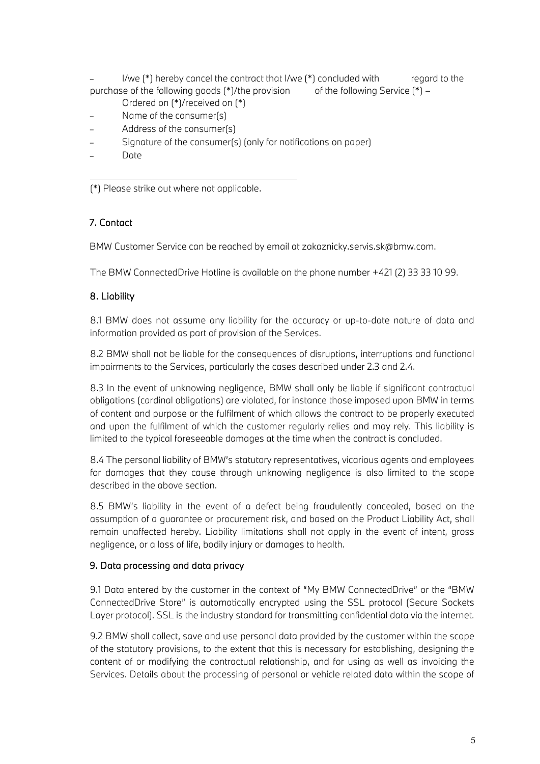I/we (\*) hereby cancel the contract that I/we (\*) concluded with regard to the purchase of the following goods  $(*)$ /the provision of the following Service  $(*)$  –

- Ordered on (\*)/received on (\*)
- Name of the consumer(s)
- Address of the consumer(s)
- Signature of the consumer(s) (only for notifications on paper)
- Date

(\*) Please strike out where not applicable.

# 7. Contact

BMW Customer Service can be reached by email at zakaznicky.servis.sk@bmw.com.

The BMW ConnectedDrive Hotline is available on the phone number +421 (2) 33 33 10 99.

# 8. Liability

8.1 BMW does not assume any liability for the accuracy or up-to-date nature of data and information provided as part of provision of the Services.

8.2 BMW shall not be liable for the consequences of disruptions, interruptions and functional impairments to the Services, particularly the cases described under 2.3 and 2.4.

8.3 In the event of unknowing negligence, BMW shall only be liable if significant contractual obligations (cardinal obligations) are violated, for instance those imposed upon BMW in terms of content and purpose or the fulfilment of which allows the contract to be properly executed and upon the fulfilment of which the customer regularly relies and may rely. This liability is limited to the typical foreseeable damages at the time when the contract is concluded.

8.4 The personal liability of BMW's statutory representatives, vicarious agents and employees for damages that they cause through unknowing negligence is also limited to the scope described in the above section.

8.5 BMW's liability in the event of a defect being fraudulently concealed, based on the assumption of a guarantee or procurement risk, and based on the Product Liability Act, shall remain unaffected hereby. Liability limitations shall not apply in the event of intent, gross negligence, or a loss of life, bodily injury or damages to health.

# 9. Data processing and data privacy

9.1 Data entered by the customer in the context of "My BMW ConnectedDrive" or the "BMW ConnectedDrive Store" is automatically encrypted using the SSL protocol (Secure Sockets Layer protocol). SSL is the industry standard for transmitting confidential data via the internet.

9.2 BMW shall collect, save and use personal data provided by the customer within the scope of the statutory provisions, to the extent that this is necessary for establishing, designing the content of or modifying the contractual relationship, and for using as well as invoicing the Services. Details about the processing of personal or vehicle related data within the scope of